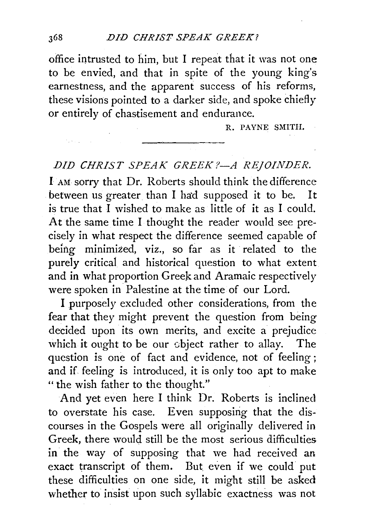office intrusted to him, but I repeat that it was not one to be envied, and that in spite of the young king's earnestness, and the apparent success of his reforms, these visions pointed to a darker side, and spoke chiefly or entirely of chastisement and endurance.

R. PAYNE SMITH.

## *DID CHRIST SPEAK GREEK ?-A REJOINDER.*

I AM sorry that Dr. Roberts should think the difference between us greater than I had supposed it to be. It is true that I wished to make as little of it as I could. At the same time I thought the reader would see precisely in what respect the difference seemed capable of being minimized, viz., so far as it related to the purely critical and historical question to what extent and in what proportion Greek and Aramaic respectively were spoken in. Palestine at the time of our Lord.

I purposely excluded other considerations, from the fear that they might prevent the question from being decided upon its own merits, and excite a prejudice which it ought to be our object rather to allay. The question is one of fact and evidence, not of feeling; and if feeling is introduced, it is only too apt to make "the wish father to the thought."

And yet even here I think Dr. Roberts is inclined to overstate his case. Even supposing that the discourses in the Gospels were all originally delivered in Greek, there would still be the most serious difficulties in the way of supposing that we had received an exact transcript of them. But. even if we could put these difficulties on one side, it might still be asked whether to insist upon such syllabic exactness was not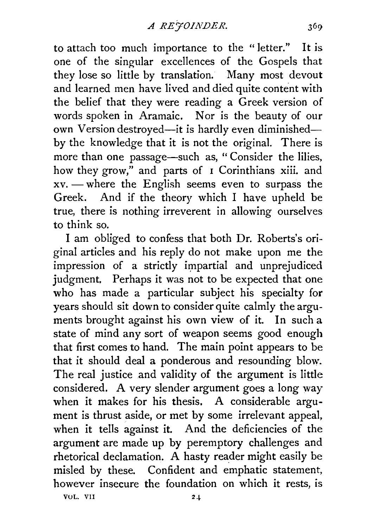to attach too much importance to the " letter." It is one of the singular excellences of the Gospels that they lose so little by translation. Many most devout and learned men have lived and died quite content with the belief that they were reading a Greek version of words spoken in Aramaic. Nor is the beauty of our own Version destroyed-it is hardly even diminishedby the knowledge that it is not the original. There is more than one passage-such as, "Consider the lilies, how they grow," and parts of 1 Corinthians xiii. and xv. - where the English seems even to surpass the Greek. And if the theory which I have upheld be true, there is nothing irreverent in allowing ourselves to think so.

I am obliged to confess that both Dr. Roberts's original articles and his reply do not make upon me the impression of a strictly impartial and unprejudiced judgment, Perhaps it was not to be expected that one who has made a particular subject his specialty for years should sit down to consider quite calmly the arguments brought against his own view of it. In such a state of mind any sort of weapon seems good enough that first comes to hand. The main point appears to be that it should deal a ponderous and resounding blow. The real justice and validity of the argument is little considered. A very slender argument goes a long way when it makes for his thesis. A considerable argument is thrust aside, or met by some irrelevant appeal, when it tells against it. And the deficiencies of the argument are made up by peremptory challenges and rhetorical declamation. A hasty reader might easily be misled by these. Confident and emphatic statement, however insecure the foundation on which it rests, is VUL. VII 24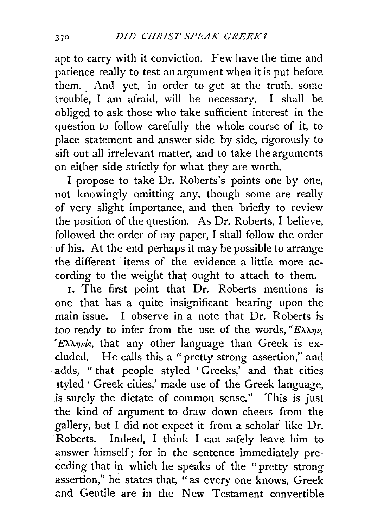apt to carry with it conviction. Few have the time and patience really to test an argument when it is put before them. And yet, in order to get at the truth, some trouble, I am afraid, will be necessary. I shall be obliged to ask those who take sufficient interest in the question to follow carefully the whole course of it, to place statement and answer side by side, rigorously to sift out all irrelevant matter, and to take the arguments on either side strictly for what they are worth.

I propose to take Dr. Roberts's points one by one, not knowingly omitting any, though some are really of very slight importance, and then briefly to review the position of the question. As Dr. Roberts, I believe, followed the order of my paper, I shall follow the order of his. At the end perhaps it may be possible to arrange the different items of the evidence a little more according to the weight that ought to attach to them.

1. The first point that Dr. Roberts mentions is one that has a quite insignificant bearing upon the main issue. I observe in a note that Dr. Roberts is too ready to infer from the use of the words,  $E_{\lambda} \lambda_{\eta \nu}$ , ' $E\lambda\lambda\eta\nu\ell s$ , that any other language than Greek is excluded. He calls this a "pretty strong assertion," and . adds, "that people styled 'Greeks,' and that cities styled 'Greek cities,' made use of the Greek language, is surely the dictate of common sense." This is just the kind of argument to draw down cheers from the gallery, but I did not expect it from a scholar like Dr. Roberts. Indeed, I think I can safely leave him to answer himself; for in the sentence immediately preceding that in which he speaks of the "pretty strong assertion," he states that, "as every one knows, Greek and Gentile are in the New Testament convertible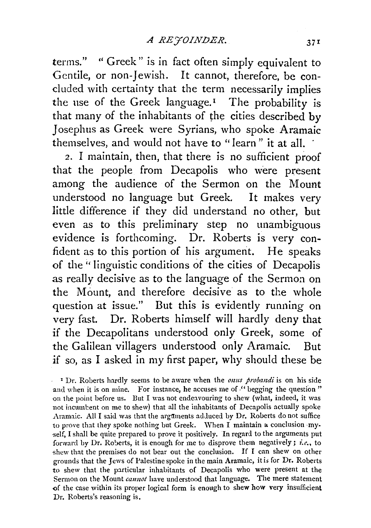terms." " Greek" is in fact often simply equivalent to Gentile, or non-Jewish. It cannot, therefore, be concluded with certainty that the term necessarily implies the use of the Greek language.<sup> $I$ </sup> The probability is that many of the inhabitants of the cities described by Josephus as Greek were Syrians, who spoke Aramaic themselves, and would not have to "learn" it at all.

*2.* I maintain, then, that there is no sufficient proof that the people from Decapolis who were present among the audience of the Sermon on the Mount understood no language but Greek. It makes very little difference if they did understand no other, but even as to this preliminary step no unambiguous evidence is forthcoming. Dr. Roberts is very confident as to this portion of his argument. He speaks of the "linguistic conditions of the cities of Decapolis as really decisive as to the language of the Sermon on the Mount, and therefore decisive as to the whole question at issue." But this is evidently running on very fast. Dr. Roberts himself will hardly deny that if the Decapolitans understood only Greek, some of the Galilean villagers understood only Aramaic. But if so, as I asked in my first paper, why should these be

' Dr. Roberts hardly seems to be aware when the *onus probandi* is on his side and when it is on mine. For instance, he accuses me of "begging the question" on the point before us. But I was not endeavouring to shew (what, indeed, it was not incumbent on me to shew) that all the inhabitants of Decapolis actually spoke Aramaic. All I said was that the arguments adduced by Dr. Roberts do not suffice to prove that they spoke nothing but Greek. When I maintain a conclusion  $\cdot$ my. ·self, I shall be quite prepared to prove it positively. In regard to the arguments put forward by Dr. Roberts, it is enough for me to disprove them negatively; *i.e.*, to 5hew that the premises do not bear out the conclusion. If I can shew on other grounds that the Jews of Palestine spoke in the main Aramaic, it i; for Dr. Roberts to shew that the particular inhabitants of Decapolis who were present at the Sermon on the Mount *cannot* have understood that language. The mere statement of the case within its proper logical form is enough to shew how very insufficient Dr. Roberts's reasoning is,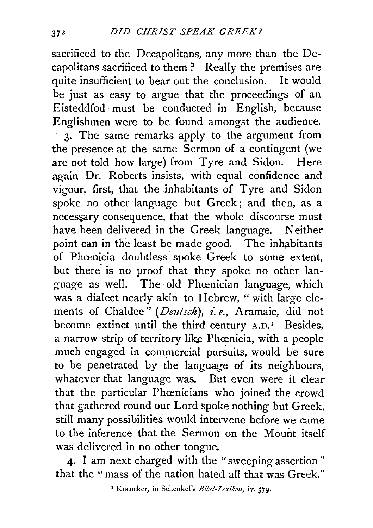sacrificed to the Decapolitans, any more than the Decapolitans sacrificed to them ? Really the premises are quite insufficient to bear out the conclusion. It would be just as easy to argue that the proceedings of an Eisteddfod· must be conducted in English, because Englishmen were to be found amongst the audience. 3. The same remarks apply to the argument from the presence at the same Sermon of a contingent (we are not told how large) from Tyre and Sidon. Here again Dr. Roberts insists, with equal confidence and vigour, first, that the inhabitants of Tyre and Sidon spoke no. other language but Greek ; and then, as a necessary consequence, that the whole discourse must have been delivered in the Greek language. Neither point can in the least be made good. The inhabitants of Phœnicia doubtless spoke Greek to some extent, but there is no proof that they spoke no other language as well. The old Phœnician language, which was a dialect nearly akin to Hebrew, "with large elements of Chaldee" *(Deutsch), i.e.,* Aramaic, did not become extinct until the third century  $A.D.<sup>T</sup>$  Besides, a narrow strip of territory like Phœnicia, with a people much engaged in commercial pursuits, would be sure to be penetrated by the language of its neighbours, whatever that language was. But even were it clear that the particular Phœnicians who joined the crowd that gathered round our Lord spoke nothing but Greek, still many possibilities would intervene before we came to the inference that the Sermon on the Mount itself was delivered in no other tongue.

4· I am next charged with the "sweeping assertion " that the "mass of the nation hated all that was Greek."

<sup>*'*</sup> Kneucker, in Schenkel's *Bibel-Lexikon*, *iv.* 579.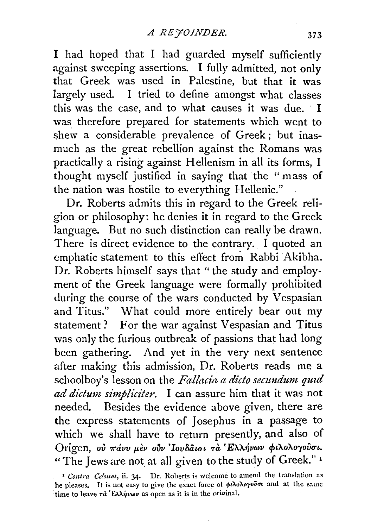I had hoped that I had guarded myself sufficiently against sweeping assertions. I fully admitted, not only that Greek was used in Palestine, but that it was largely used. I tried to define amongst what classes this was the case, and to what causes it was due. I was therefore prepared for statements which went to shew a considerable prevalence of Greek ; but inasmuch as the great rebellion against the Romans was practically a rising against Hellenism in all its forms, I thought myself justified in saying that the "mass of the nation was hostile to everything Hellenic."

Dr. Roberts admits this in regard to the Greek religion or philosophy: he denies it in regard to the Greek language. But no such distinction can really be drawn. There is direct evidence to the contrary. I quoted an emphatic statement to this effect from Rabbi Akibha. Dr. Roberts himself says that "the study and employment of the Greek language were formally prohibited during the course of the wars conducted by Vespasian and Titus." What could more entirely bear out my statement? For the war against Vespasian and Titus was only the furious outbreak of passions that had long been gathering. And yet in the very next sentence after making this admission, Dr. Roberts reads me a schoolboy's lesson on the *Fallacia a dicto secundum quid ad dictum simpliciter.* I can assure him that it was not needed. Besides the evidence above given, there are the express statements of Josephus in a passage to which we shall have to return presently, and also of Origen, ού πάνυ μεν ούν 'Ιουδαιοι τα Έλλήνων φιλολογούσι. " The Jews are not at all given to the study of Greek." <sup>1</sup>

<sup>&</sup>lt;sup>1</sup> *Contra Celsum*, ii. 34. Dr. Roberts is welcome to amend the translation as he pleases. It is not easy to give the exact force of  $\phi\iota\lambda_0\lambda_0\gamma_0\tilde{\theta}$  and at the same time to leave  $\tau \dot{a}$  'E $\lambda \dot{\lambda} \dot{\eta} \nu \omega \nu$  as open as it is in the original.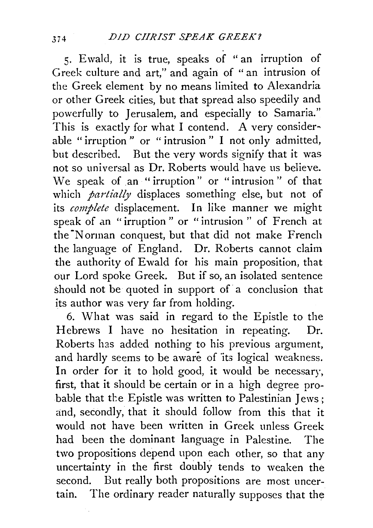5. Ewald, it is true, speaks of "an irruption of Greek culture and art," and again of "an intrusion of the Greek element by no means limited to Alexandria or other Greek cities, but that spread also speedily and powerfully to Jerusalem, and especially to Samaria." This is exactly for what I contend. A very considerable "irruption" or "intrusion" I not only admitted, but described. But the very words signify that it was not so universal as Dr. Roberts would have us believe. We speak of an "irruption" or "intrusion" of that which *partially* displaces something else, but not of its *complete* displacement. In like manner we might speak of an "irruption" or "intrusion " of French at the<sup>-</sup>N orman conquest, but that did not make French the language of England. Dr. Roberts cannot claim the authority of Ewald for his main proposition, that our Lord spoke Greek. But if so, an isolated sentence should not be quoted in support of a conclusion that its author was very far from holding.

6. What was said in regard to the Epistle to the Hebrews I have no hesitation in repeating. Dr. Roberts has added nothing to his previous argument, and hardly seems to be aware of 'its logical weakness. In order for it to hold good, it would be necessary, first, that it should be certain or in a high degree probable that the Epistle was written to Palestinian Jews; and, secondly, that it should follow from this that it would not have been written in Greek unless Greek had been the dominant language in Palestine. The two propositions depend upon each other, so that any uncertainty in the first doubly tends to weaken the second. But really both propositions are most uncertain. The ordinary reader naturally supposes that the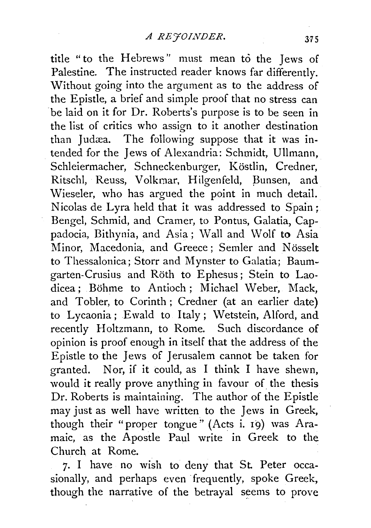title "to the Hebrews" must mean to the Jews of Palestine. The instructed reader knows far differently. Without going into the argument as to the address of the Epistle, a brief and simple proof that no stress can be laid on it for Dr. Roberts's purpose is to be seen in the list of critics who assign to it another destination than Judæa. The following suppose that it was intended for the Jews of Alexandria: Schmidt, Ullmann, Schleiermacher, Schneckenburger, Köstlin, Credner, Ritschl, Reuss, Volkmar, Hilgenfeld, Bunsen, and Wieseler, who has argued the point in much detail. Nicolas de Lyra held that it was addressed to Spain; Bengel, Schmid, and Cramer, to Pontus, Galatia, Cappadocia, Bithynia, and Asia; Wall and Wolf to Asia Minor, Macedonia, and Greece; Semler and Nösselt to Thessalonica; Storr and Mynster to Galatia; Baumgarten-Crusius and Roth to Ephesus; Stein to Laodicea; Bohme to Antioch; Michael Weber, Mack, and Tobler, to Corinth; Credner (at an earlier date) to Lycaonia; Ewald to Italy; Wetstein, Alford, and recently Holtzmann, to Rome. Such discordance of opinion is proof enough in itself that the address of the Epistle to the Jews of Jerusalem cannot be taken for granted. Nor, if it could, as I think I have shewn, would it really prove anything in favour of the thesis Dr. Roberts is maintaining. The author of the Epistle may just as well have written to the Jews in Greek, though their "proper tongue'' (Acts i. 19) was Aramaic, as the Apostle Paul write in Greek to the Church at Rome.

7· I have no wish to deny that St Peter occasionally, and perhaps even frequently, spoke Greek, though the narrative of the betrayal seems to prove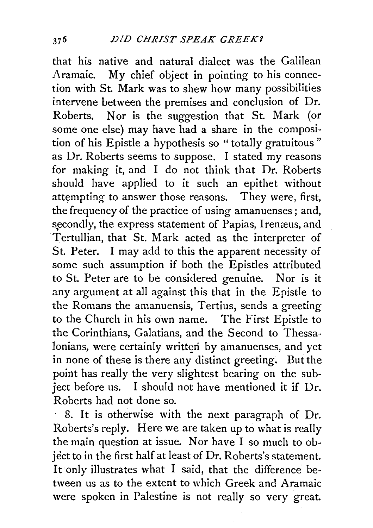that his native and natural dialect was the Galilean Aramaic. My chief object in pointing to his connection with St. Mark was to shew how many possibilities intervene between the premises and conclusion of Dr. Roberts. Nor is the suggestion that St. Mark (or some one else) may have had a share in the composition of his Epistle a hypothesis so "totally gratuitous" as Dr. Roberts seems to suppose. I stated my reasons for making it, and I do not think that Dr. Roberts should have applied to it such an epithet without attempting to answer those reasons. They were, first, the frequency of the practice of using amanuenses; and, secondly, the express statement of Papias, Irenæus, and Tertullian, that St. Mark acted as the interpreter of St. Peter. I may add to this the apparent necessity of some such assumption if both the Epistles attributed to St. Peter are to be considered genuine. Nor is it any argument at all against this that in the Epistle to the Romans the amanuensis, Tertius, sends a greeting to the Church in his own name. The First Epistle to the Corinthians, Galatians, and the Second to Thessalonians, were certainly written by amanuenses, and yet in none of these is there any distinct greeting. But the point has really the very slightest bearing on the subject before us. I should not have mentioned it if Dr. Roberts had not done so.

8. It is otherwise with the next paragraph of Dr. Roberts's reply. Here we are taken up to what is really the main question at issue. Nor have I so much to object to in the first half at least of Dr. Roberts's statement. It only illustrates what I said, that the difference between us as to the extent to which Greek and Aramaic were spoken in Palestine is not really so very great.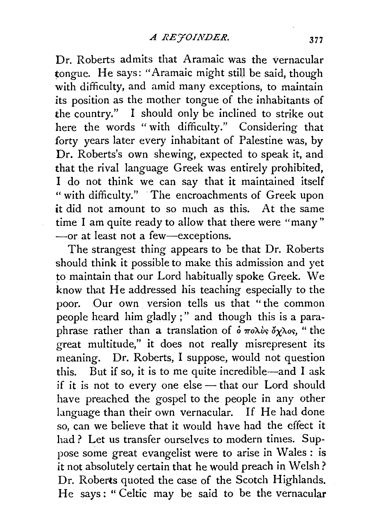Dr. Roberts admits that Aramaic was the vernacular tongue. He says: "Aramaic might still be said, though with difficulty, and amid many exceptions, to maintain its position as the mother tongue of the inhabitants of the country." I should only be inclined to strike out here the words "with difficulty." Considering that forty years later every inhabitant of Palestine was, by Dr. Roberts's own shewing, expected to speak it, and that the rival language Greek was entirely prohibited, I do not think we can say that it maintained itself " with difficulty." The encroachments of Greek upon it did not amount to so much as this. At the same time I am quite ready to allow that there were "many" -or at least not a few-exceptions.

The strangest thing appears to be that Dr. Roberts should think it possible to make this admission and yet to maintain that our Lord habitually spoke Greek. We know that He addressed his teaching especially to the poor. Our own version tells us that "the common people heard him gladly ;" and though this is a paraphrase rather than a translation of  $\delta \pi$ o $\lambda$ *us*  $\delta \chi \lambda$ os, " the great multitude," it does not really misrepresent its meaning. Dr. Roberts, I suppose, would not question this. But if so, it is to me quite incredible—and  $I$  ask if it is not to every one else  $-$  that our Lord should have preached the gospel to the people in any other language than their own vernacular. If He had done so, can we believe that it would have had the effect it had? Let us transfer ourselves to modern times. Suppose some great evangelist were to arise in \Vales : is it not absolutely certain that he would preach in Welsh? Dr. Roberts quoted the case of the Scotch Highlands. He says: "Celtic may be said to be the vernacular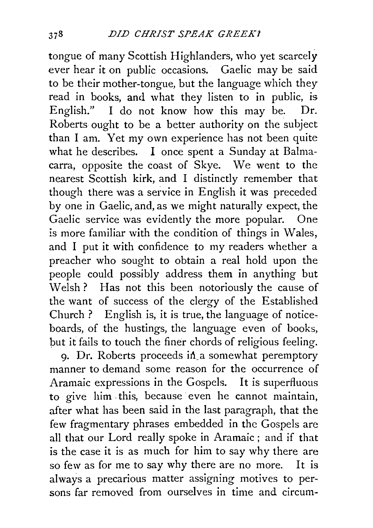tongue of many Scottish Highlanders, who yet scarcely ever hear it on public occasions. Gaelic may be said to be their mother-tongue, but the language which they read in books, and what they listen to in public, is English." I do not know how this may be. Dr. Roberts ought to be a better authority on the subject than I am. Yet my own experience has not been quite what he describes. I once spent a Sunday at Balmacarra, opposite the coast of Skye. We went to the nearest Scottish kirk, and I distinctly remember that though there was a service in English it was preceded by one in Gaelic, and, as we might naturally expect, the Gaelic service was evidently the more popular. One is more familiar with the condition of things in Wales, and I put it with confidence to my readers whether a preacher who sought to obtain a real hold upon the people could possibly address them in anything but Welsh? Has not this been notoriously the cause of the want of success of the clergy of the Established Church ? English is, it is true, the language of noticeboards, of the hustings, the language even of books, put it fails to touch the finer chords of religious feeling.

9. Dr. Roberts proceeds in a somewhat peremptory manner to demand some reason for the occurrence of Aramaic expressions in the Gospels. It is superfluous to give him this, because even he cannot maintain, after what has been said in the last paragraph, that the few fragmentary phrases embedded in the Gospels are all that our Lord really spoke in Aramaic ; and if that is the case it is as much for him to say why there are so few as for me to say why there are no more. It is always a precarious matter assigning motives to persons far removed from ourselves in time and circum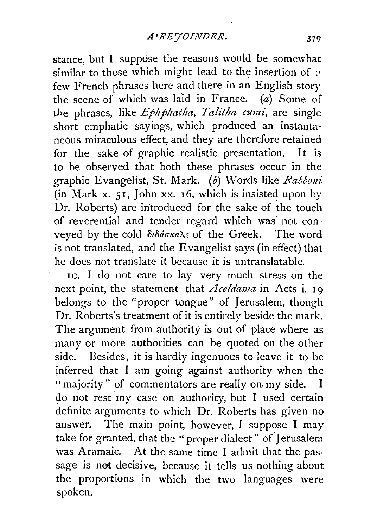stance, but I suppose the reasons would be somewhat similar to those which might lead to the insertion of  $\alpha$ . few French phrases here and there in an English story the scene of which was laid in France. (a) Some of the phrases, like *Ephphatha, Talitha cumi,* are single short emphatic sayings, which produced an instantaneous miraculous effect, and they are therefore retained for the sake of graphic realistic presentation. It is to be observed that both these phrases occur in the graphic Evangelist, St. Mark. *(b)* Words like *Rabbon£*  (in Mark x.  $51$ , John xx. 16, which is insisted upon by Dr. Roberts) are introduced for the sake of the touch of reverential and tender regard which was not conveved by the cold διδάσκαλε of the Greek. The word is not translated, and the Evangelist says (in effect) that he does not translate it because it is untranslatable.

10. I do not care to lay very much stress on the next point, the statement that *Aceldama* in Acts i. 19 belongs to the "proper tongue" of Jerusalem, though Dr. Roberts's treatment of it is entirely beside the mark. The argument from authority is out of place where as many or more authorities can be quoted on the other side. Besides, it is hardly ingenuous to leave it to be inferred that I am going against authority when the " majority" of commentators are really on my side. I do not rest my case on authority, but I used certain definite arguments to which Dr. Roberts has given no answer. The main point, however, I suppose I may take for granted, that the "proper dialect" of Jerusalem was Aramaic. At the same time I admit that the passage is not decisive, because it tells us nothing about the proportions in which the two languages were spoken.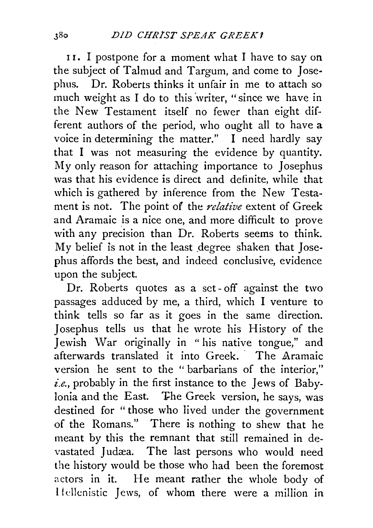II. I postpone for a moment what I have to say on the subject of Talmud and Targum, and come to Josephus. Dr. Roberts thinks it unfair in me to attach so much weight as I do to this 'writer, "since we have in the New Testament itself no fewer than eight different authors of the period, who ought all to have a voice in determining the matter." I need hardly say that I was not measuring the evidence by quantity. My only reason for attaching importance to Josephus was that his evidence is direct and definite, while that which is gathered by inference from the New Testament is not. The point of the *relative* extent of Greek and Aramaic is a nice one, and more difficult to prove with any precision than Dr. Roberts seems to think. My belief is not in the least degree shaken that Josephus affords the best, and indeed conclusive, evidence upon the subject.

Dr. Roberts quotes as a set-off against the two passages adduced by me, a third, which I venture to think tells so far as it goes in the same direction. Josephus tells us that he wrote his History of the Jewish War originally in "his native tongue," and afterwards translated it into Greek. The Aramaic version he sent to the " barbarians of the interior," *i.e.,* probably in the first instance to the Jews of Babylonia and the East. The Greek version, he says, was destined for "those who lived under the government of the Romans." There is nothing to shew that he meant by this the remnant that still remained in devastated Judæa. The last persons who would need the history would be those who had been the foremost actors in it. He meant rather the whole body of Hellenistic Jews, of whom there were a million in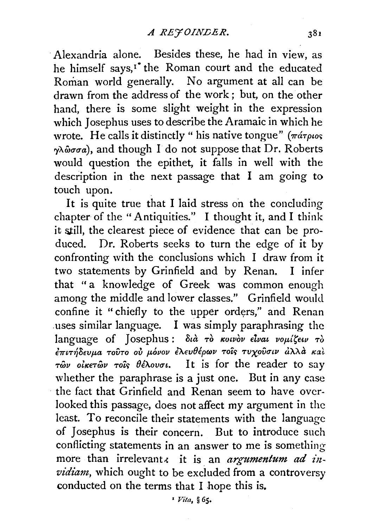Alexandria alone. Besides these, he had in view, as he himself says,<sup>1</sup> the Roman court and the educated Roman world generally. No argument at all can be drawn from the address of the work ; but, on the other hand, there is some slight weight in the expression which Josephus uses to describe the Aramaic in which he wrote. He calls it distinctly " his native tongue" ( $\pi \hat{a} \tau \rho \iota o s$ )  $\gamma\lambda\hat{\omega}\sigma\sigma a$ , and though I do not suppose that Dr. Roberts would question the epithet, it falls in well with the description in the next passage that I am going to touch upon.

It is quite true that I laid stress on the concluding chapter of the "Antiquities." I thought it, and I think it &till, the clearest piece of evidence that can be produced. Dr. Roberts seeks to turn the edge of it by confronting with the conclusions which I draw from it two statements by Grinfield and by Renan. I infer that "a knowledge of Greek was common enough among the middle and lower classes." Grinfield would confine it "chiefly to the upper orders," and Renan .uses similar language. I was simply paraphrasing the language of Josephus:  $\delta u \dot{a}$  To Kouvov elvat vopilgety To επιτήδευμα τούτο ού μόνον ελευθέρων τοίς τυχούσιν αλλά και Tων oiκετών τοις θέλουσι. It is for the reader to say whether the paraphrase is a just one. But in any case the fact that Grinfield and Renan seem to have overlooked this passage, does not affect my argument in the least. To reconcile their statements with the language of Josephus is their concern. But to introduce such conflicting statements in an answer to me is something more than irrelevant *i* is an *argumentum ad invidiam,* which ought to be excluded from a controversy conducted on the terms that I hope this is.

' *Vita,* § *65.*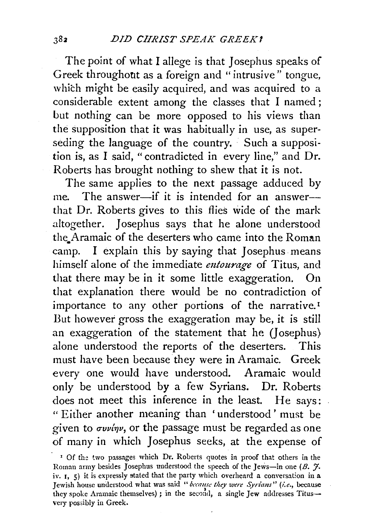The point of what I allege is that Josephus speaks of Greek throughout as a foreign and "intrusive" tongue, which might be easily acquired, and was acquired to a considerable extent among the classes that I named ; but nothing can be more opposed to his views than the supposition that it was habitually in use, as superseding the language of the country. Such a supposition is, as I said, "contradicted in every line," and Dr. Roberts has brought nothing to shew that it is not.

The same applies to the next passage adduced by me. The answer-if it is intended for an answer- that Dr. Roberts gives to this flies \vide of the mark altogether. Josephus says that he alone understood the.Aramaic of the deserters who came into the Roman camp. I explain this by saying that Josephus means himself alone of the immediate *entourage* of Titus, and that there may be in it some little exaggeration. On that explanation there would be no contradiction of importance to any other portions of the narrative.<sup>1</sup> But however gross the exaggeration may be, it is still an exaggeration of the statement that he *(]* osephus} alone understood the reports of the deserters. This must have been because they were in Aramaic. Greek every one would have understood. Aramaic would only be understood by a few Syrians. Dr. Roberts does not meet this inference in the least. He says: "Either another meaning than 'understood' must be given to  $\sigma v \nu \omega \eta \nu$ , or the passage must be regarded as one of many in which Josephus seeks, at the expense of

<sup>&</sup>lt;sup>1</sup> Of the two passages which Dr. Roberts quotes in proof that others in the Roman army besides Josephus understood the speech of the Jews-in one  $(B. 7. 1)$ iv. 1, 5) it is expressly stated that the party which overheard a conversation in a Jewish house understood what was said "because they were Syrians" (i.e., because they spoke Aramaic themselves) ; in the second, a single Jew addresses Titusvery possibly in Greek.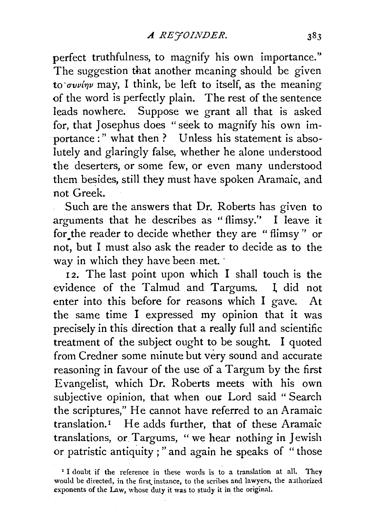perfect truthfulness, to magnify his own importance." The suggestion that another meaning should be given to *ouvlyv* may, I think, be left to itself, as the meaning of the word is perfectly plain. The rest of the sentence leads nowhere. Suppose we grant all that is asked for, that Josephus does "seek to magnify his own importance :" what then ? Unless his statement is absolutely and glaringly false, whether he alone understood the deserters, or some few, or even many understood them besides, still they must have spoken Aramaic, and not Greek.

Such are the answers that Dr. Roberts has given to arguments that he describes as " flimsy." I leave it for the reader to decide whether they are "flimsy" or not, but I must also ask the reader to decide as to the way in which they have been met.

12. The last point upon which I shall touch is the evidence of the Talmud and Targums. *L* did not enter into this before for reasons which I gave. At the same time I expressed my opinion that it was precisely in this direction that a really full and scientific treatment of the subject ought to be sought. I quoted from Credner some minute but very sound and accurate reasoning in favour of the use of a Targum by the first Evangelist, which Dr. Roberts meets with his own subjective opinion, that when our Lord said " Search the scriptures," He cannot have referred to an Aramaic translation.<sup>1</sup> He adds further, that of these Aramaic translations, or Targums, "we hear nothing in Jewish or patristic antiquity;" and again he speaks of "those

<sup>&#</sup>x27; I doubt if the reference in these words is to a translation at all. They would be directed, in the first instance, to the scribes and lawyers, the authorized exponents of the Law, whose duty it was to study it in the original.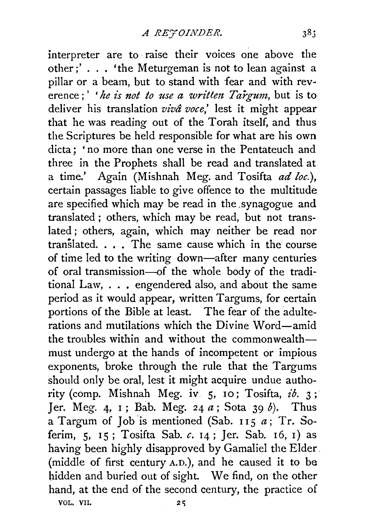interpreter are to raise their voices one above the other;' ... 'the Meturgeman is not to lean against a pillar or a beam, but to stand with fear and with reverence;' *'he is not to use a written Targum*, but is to deliver his translation *viva voce,'* lest it might appear that he was reading out of the Torah itself, and thus the Scriptures be held responsible for what are his own dicta; ' no more than one verse in the Pentateuch and three in the Prophets shall be read and translated at a time.' Again (Mishnah Meg. and Tosifta *ad loc.),*  certain passages liable to give offence to the multitude are specified which may be read in the .synagogue and translated; others, which may be read, but not translated ; others, again, which may neither be read nor translated. . . . The same cause which in the course of time led to the writing down-after many centuries of oral transmission-of the whole body of the traditional Law, . . • engendered also, and about the same period as it would appear, written Targums, for certain portions of the Bible at least. The fear of the adulterations and mutilations which the Divine Word—amid the troubles within and without the commonwealth $$ must undergo at the hands of incompetent or impious exponents, broke through the rule that the Targums should only be oral, lest it might acquire undue authority (comp. Mishnah Meg. iv. 5, 10; Tosifta, *£b.* 3; Jer. Meg. 4, 1; Bab. Meg. 24  $a$ ; Sota 39  $b$ ). Thus a Targum of Job is mentioned (Sab. 115 a; Tr. Soferim, 5, 15; Tosifta Sab. c. 14; Jer. Sab. 16, 1) as having been highly disapproved by Gamaliel the Elder. (middle of first century A.D.), and he caused it to be hidden and buried out of sight. We find, on the other hand, at the end of the second century, the practice of VOL. VII. 25

 $38<sub>3</sub>$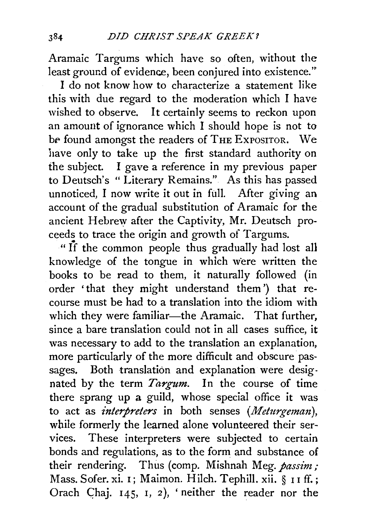Aramaic Targums which have so often, without the least ground of evidence, been conjured into existence."

I do not know how to characterize a statement like this with due regard to the moderation which I have wished to observe. It certainly seems to reckon upon an amount of ignorance which I should hope is not to be found amongst the readers of THE EXPOSITOR. We have only to take up the first standard authority on the subject. I gave a reference in my previous paper to Deutsch's "Literary Remains." As this has passed unnoticed, I now write it out in full. After giving an account of the gradual substitution of Aramaic for the ancient Hebrew after the Captivity, Mr. Deutsch proceeds to trace the origin and growth of Targums.

"If the common people thus gradually had lost all knowledge of the tongue in which were written the books to be read to them, it naturally followed (in order 'that they might understand them') that recourse must be had to a translation into the idiom with which they were familiar-the Aramaic. That further, since a bare translation could not in all cases suffice, it was necessary to add to the translation an explanation, more particularly of the more difficult and obscure passages. Both translation and explanation were desig· nated by the term *Targum.* In the course of time there sprang up a guild, whose special office it was to act as *interpreters* in both senses *(Meturgeman)*, while formerly the learned alone volunteered their services. These interpreters were subjected to certain bonds and regulations, as to the form and substance of their rendering. Thus (comp. Mishnah Meg. *passim;*  Mass. Sofer. xi. 1; Maimon. Hilch. Tephill. xii. § 11 ff.; Orach Chaj. 145, I, 2), 'neither the reader nor the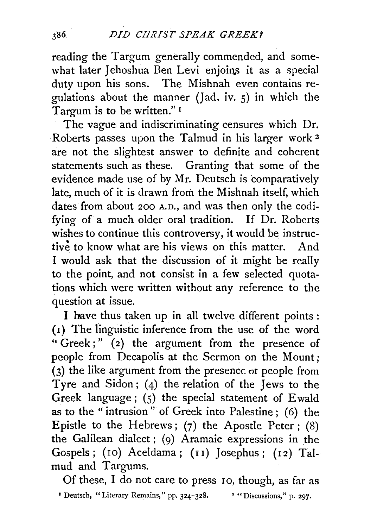reading the Targum generally commended, and somewhat later Jehoshua Ben Levi enjoins it as a special duty upon his sons. The Mishnah even contains regulations about the manner (Jad. iv.  $5$ ) in which the Targum is to be written." 1

The vague and indiscriminating censures which Dr. Roberts passes upon the Talmud in his larger work 2 are not the slightest answer to definite and coherent statements such as these. Granting that some of the evidence made use of by Mr. Deutsch is comparatively late, much of it is drawn from the Mishnah itself, which dates from about 200 A.D., and was then only the codifying of a much older oral tradition. If Dr. Roberts wishes to continue this controversy, it would be instructive to know what are his views on this matter. And I would ask that the discussion of it might be really to the point, and not consist in a few selected quotations which were written without any reference to the question at issue.

I have thus taken up in all twelve different points : (I) The linguistic inference from the use of the word " Greek;"  $(2)$  the argument from the presence of people from Decapolis at the Sermon on the Mount; (3) the like argument from the presence or people from Tyre and Sidon; (4) the relation of the Jews to the Greek language; (5) the special statement of Ewald as to the "intrusion" of Greek into Palestine; (6) the Epistle to the Hebrews; (7) the Apostle Peter; (8) the Galilean dialect; (9) Aramaic expressions in the Gospels ; (10) Aceldama ; (11) Josephus ; (12) Talmud and Targums.

Of these, I do not care to press 10, though, as far as <sup>1</sup> Deutsch, "Literary Remains," pp. 324-328. <sup>2</sup> " Discussions," p. 297.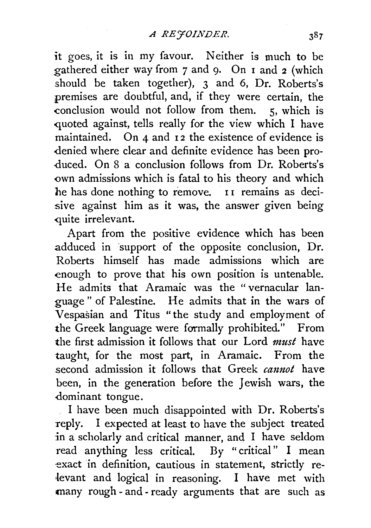it goes, it is in my favour. Neither is much to be gathered either way from 7 and 9· On I and 2 (which should be taken together), 3 and 6, Dr. Roberts's premises are doubtful, and, if they were certain, the -conclusion would not follow from them. 5, which is quoted against, tells really for the view which I have maintained. On  $4$  and  $12$  the existence of evidence is denied where clear and definite evidence has been pro--duced. On 8 a conclusion follows from Dr. Roberts's <>wn admissions which is fatal to his theory and which he has done nothing to remove. II remains as decisive against him as it was, the answer given being quite irrelevant.

Apart from the positive evidence which has been adduced in support of the opposite conclusion, Dr. Roberts himself has made admissions which are enough to prove that his own position is untenable. He admits that Aramaic was the "vernacular language " of Palestine. He admits that in the wars of Vespasian and Titus "the study and employment of the Greek language were formally prohibited." From the first admission it follows that our Lord *must* have taught, for the most part, in Aramaic. From the second admission it follows that Greek *cannot* have been, in the generation before the Jewish wars, the .dominant tongue.

I have been much disappointed with Dr. Roberts's reply. I expected at least to have the subject treated in a scholarly and critical manner, and I have seldom read anything less critical. By "critical" I mean -exact in definition, cautious in statement, strictly re levant and logical in reasoning. I have met with many rough - and- ready arguments that are such as